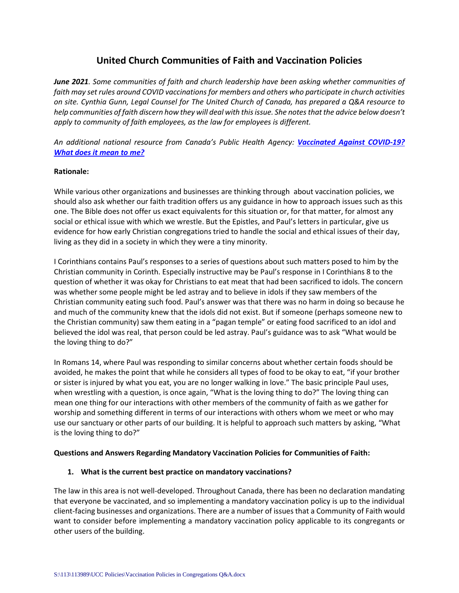# **United Church Communities of Faith and Vaccination Policies**

*June 2021. Some communities of faith and church leadership have been asking whether communities of faith may set rules around COVID vaccinations for members and others who participate in church activities on site. Cynthia Gunn, Legal Counsel for The United Church of Canada, has prepared a Q&A resource to help communities of faith discern how they will deal with this issue. She notes that the advice below doesn't apply to community of faith employees, as the law for employees is different.*

*An additional national resource from Canada's Public Health Agency: [Vaccinated Against COVID-19?](https://www.canada.ca/content/dam/phac-aspc/documents/services/diseases/2019-novel-coronavirus-infection/awareness-resources/vaccinated-against-covid-19-public-health-measures/vaccinated-against-covid-19-public-health-measures.pdf)  [What does it mean](https://www.canada.ca/content/dam/phac-aspc/documents/services/diseases/2019-novel-coronavirus-infection/awareness-resources/vaccinated-against-covid-19-public-health-measures/vaccinated-against-covid-19-public-health-measures.pdf) to me?*

### **Rationale:**

While various other organizations and businesses are thinking through about vaccination policies, we should also ask whether our faith tradition offers us any guidance in how to approach issues such as this one. The Bible does not offer us exact equivalents for this situation or, for that matter, for almost any social or ethical issue with which we wrestle. But the Epistles, and Paul's letters in particular, give us evidence for how early Christian congregations tried to handle the social and ethical issues of their day, living as they did in a society in which they were a tiny minority.

I Corinthians contains Paul's responses to a series of questions about such matters posed to him by the Christian community in Corinth. Especially instructive may be Paul's response in I Corinthians 8 to the question of whether it was okay for Christians to eat meat that had been sacrificed to idols. The concern was whether some people might be led astray and to believe in idols if they saw members of the Christian community eating such food. Paul's answer was that there was no harm in doing so because he and much of the community knew that the idols did not exist. But if someone (perhaps someone new to the Christian community) saw them eating in a "pagan temple" or eating food sacrificed to an idol and believed the idol was real, that person could be led astray. Paul's guidance was to ask "What would be the loving thing to do?"

In Romans 14, where Paul was responding to similar concerns about whether certain foods should be avoided, he makes the point that while he considers all types of food to be okay to eat, "if your brother or sister is injured by what you eat, you are no longer walking in love." The basic principle Paul uses, when wrestling with a question, is once again, "What is the loving thing to do?" The loving thing can mean one thing for our interactions with other members of the community of faith as we gather for worship and something different in terms of our interactions with others whom we meet or who may use our sanctuary or other parts of our building. It is helpful to approach such matters by asking, "What is the loving thing to do?"

### **Questions and Answers Regarding Mandatory Vaccination Policies for Communities of Faith:**

### **1. What is the current best practice on mandatory vaccinations?**

The law in this area is not well-developed. Throughout Canada, there has been no declaration mandating that everyone be vaccinated, and so implementing a mandatory vaccination policy is up to the individual client-facing businesses and organizations. There are a number of issues that a Community of Faith would want to consider before implementing a mandatory vaccination policy applicable to its congregants or other users of the building.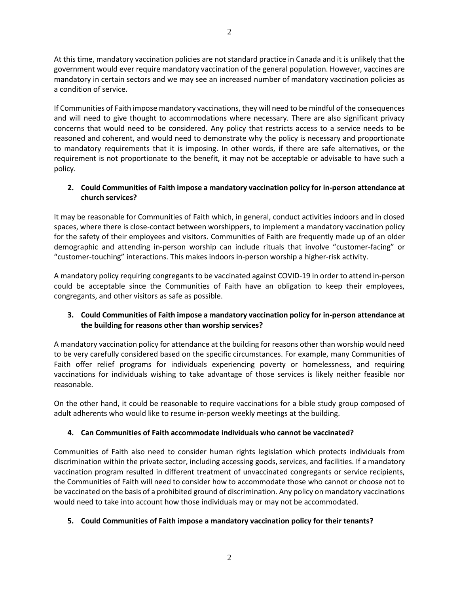At this time, mandatory vaccination policies are not standard practice in Canada and it is unlikely that the government would ever require mandatory vaccination of the general population. However, vaccines are mandatory in certain sectors and we may see an increased number of mandatory vaccination policies as a condition of service.

If Communities of Faith impose mandatory vaccinations, they will need to be mindful of the consequences and will need to give thought to accommodations where necessary. There are also significant privacy concerns that would need to be considered. Any policy that restricts access to a service needs to be reasoned and coherent, and would need to demonstrate why the policy is necessary and proportionate to mandatory requirements that it is imposing. In other words, if there are safe alternatives, or the requirement is not proportionate to the benefit, it may not be acceptable or advisable to have such a policy.

# **2. Could Communities of Faith impose a mandatory vaccination policy for in-person attendance at church services?**

It may be reasonable for Communities of Faith which, in general, conduct activities indoors and in closed spaces, where there is close-contact between worshippers, to implement a mandatory vaccination policy for the safety of their employees and visitors. Communities of Faith are frequently made up of an older demographic and attending in-person worship can include rituals that involve "customer-facing" or "customer-touching" interactions. This makes indoors in-person worship a higher-risk activity.

A mandatory policy requiring congregants to be vaccinated against COVID-19 in order to attend in-person could be acceptable since the Communities of Faith have an obligation to keep their employees, congregants, and other visitors as safe as possible.

# **3. Could Communities of Faith impose a mandatory vaccination policy for in-person attendance at the building for reasons other than worship services?**

A mandatory vaccination policy for attendance at the building for reasons other than worship would need to be very carefully considered based on the specific circumstances. For example, many Communities of Faith offer relief programs for individuals experiencing poverty or homelessness, and requiring vaccinations for individuals wishing to take advantage of those services is likely neither feasible nor reasonable.

On the other hand, it could be reasonable to require vaccinations for a bible study group composed of adult adherents who would like to resume in-person weekly meetings at the building.

# **4. Can Communities of Faith accommodate individuals who cannot be vaccinated?**

Communities of Faith also need to consider human rights legislation which protects individuals from discrimination within the private sector, including accessing goods, services, and facilities. If a mandatory vaccination program resulted in different treatment of unvaccinated congregants or service recipients, the Communities of Faith will need to consider how to accommodate those who cannot or choose not to be vaccinated on the basis of a prohibited ground of discrimination. Any policy on mandatory vaccinations would need to take into account how those individuals may or may not be accommodated.

# **5. Could Communities of Faith impose a mandatory vaccination policy for their tenants?**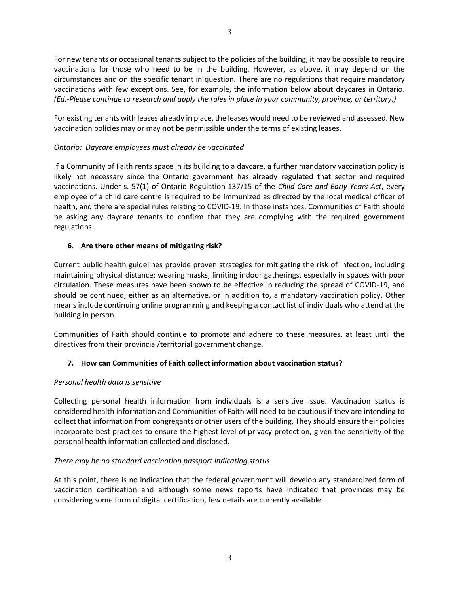For new tenants or occasional tenants subject to the policies of the building, it may be possible to require vaccinations for those who need to be in the building. However, as above, it may depend on the circumstances and on the specific tenant in question. There are no regulations that require mandatory vaccinations with few exceptions. See, for example, the information below about daycares in Ontario. *(Ed.-Please continue to research and apply the rules in place in your community, province, or territory.)*

For existing tenants with leases already in place, the leases would need to be reviewed and assessed. New vaccination policies may or may not be permissible under the terms of existing leases.

## *Ontario: Daycare employees must already be vaccinated*

If a Community of Faith rents space in its building to a daycare, a further mandatory vaccination policy is likely not necessary since the Ontario government has already regulated that sector and required vaccinations. Under s. 57(1) of Ontario Regulation 137/15 of the *Child Care and Early Years Act*, every employee of a child care centre is required to be immunized as directed by the local medical officer of health, and there are special rules relating to COVID-19. In those instances, Communities of Faith should be asking any daycare tenants to confirm that they are complying with the required government regulations.

## **6. Are there other means of mitigating risk?**

Current public health guidelines provide proven strategies for mitigating the risk of infection, including maintaining physical distance; wearing masks; limiting indoor gatherings, especially in spaces with poor circulation. These measures have been shown to be effective in reducing the spread of COVID-19, and should be continued, either as an alternative, or in addition to, a mandatory vaccination policy. Other means include continuing online programming and keeping a contact list of individuals who attend at the building in person.

Communities of Faith should continue to promote and adhere to these measures, at least until the directives from their provincial/territorial government change.

### **7. How can Communities of Faith collect information about vaccination status?**

### *Personal health data is sensitive*

Collecting personal health information from individuals is a sensitive issue. Vaccination status is considered health information and Communities of Faith will need to be cautious if they are intending to collect that information from congregants or other users of the building. They should ensure their policies incorporate best practices to ensure the highest level of privacy protection, given the sensitivity of the personal health information collected and disclosed.

### *There may be no standard vaccination passport indicating status*

At this point, there is no indication that the federal government will develop any standardized form of vaccination certification and although some news reports have indicated that provinces may be considering some form of digital certification, few details are currently available.